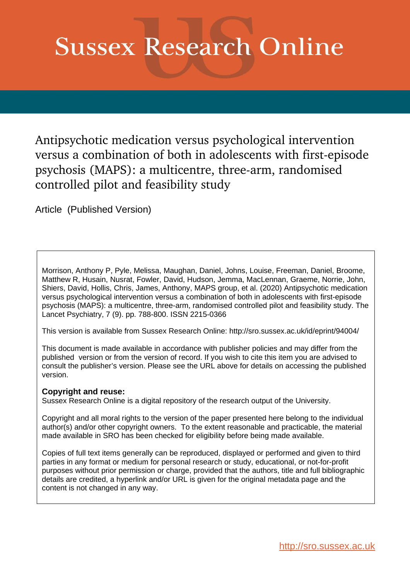# **Sussex Research Online**

Antipsychotic medication versus psychological intervention versus a combination of both in adolescents with first-episode psychosis (MAPS): a multicentre, three-arm, randomised controlled pilot and feasibility study

Article (Published Version)

Morrison, Anthony P, Pyle, Melissa, Maughan, Daniel, Johns, Louise, Freeman, Daniel, Broome, Matthew R, Husain, Nusrat, Fowler, David, Hudson, Jemma, MacLennan, Graeme, Norrie, John, Shiers, David, Hollis, Chris, James, Anthony, MAPS group, et al. (2020) Antipsychotic medication versus psychological intervention versus a combination of both in adolescents with first-episode psychosis (MAPS): a multicentre, three-arm, randomised controlled pilot and feasibility study. The Lancet Psychiatry, 7 (9). pp. 788-800. ISSN 2215-0366

This version is available from Sussex Research Online: http://sro.sussex.ac.uk/id/eprint/94004/

This document is made available in accordance with publisher policies and may differ from the published version or from the version of record. If you wish to cite this item you are advised to consult the publisher's version. Please see the URL above for details on accessing the published version.

### **Copyright and reuse:**

Sussex Research Online is a digital repository of the research output of the University.

Copyright and all moral rights to the version of the paper presented here belong to the individual author(s) and/or other copyright owners. To the extent reasonable and practicable, the material made available in SRO has been checked for eligibility before being made available.

Copies of full text items generally can be reproduced, displayed or performed and given to third parties in any format or medium for personal research or study, educational, or not-for-profit purposes without prior permission or charge, provided that the authors, title and full bibliographic details are credited, a hyperlink and/or URL is given for the original metadata page and the content is not changed in any way.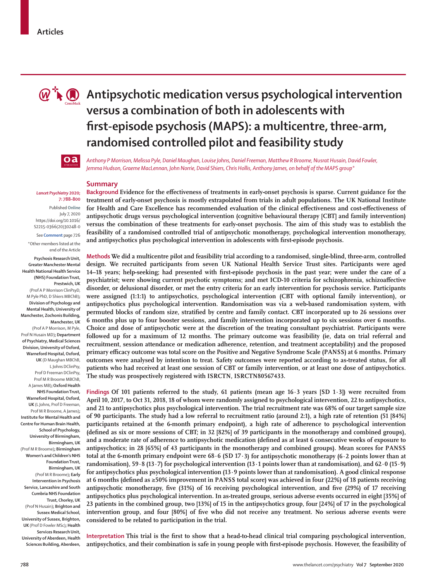

## **Antipsychotic medication versus psychological intervention versus a combination of both in adolescents with first-episode psychosis (MAPS): a multicentre, three-arm, randomised controlled pilot and feasibility study**



*Lancet Psychiatry* **2020; 7: 788–800**

Published **Online** July 7, 2020 https://doi.org/10.1016/ S2215-0366(20)30248-0 See **Comment** page 726

\*Other members listed at the end of the Article

**Psychosis Research Unit, Greater Manchester Mental Health National Health Service (NHS) Foundation Trust, Prestwich, UK** 

(Prof A P Morrison ClinPsyD, M Pyle PhD, D Shiers MBChB)**; Division of Psychology and Mental Health, University of Manchester, Zochonis Building, Manchester, UK** (Prof A P Morrison, M Pyle, Prof N Husain MD)**; Department of Psychiatry, Medical Sciences Division, University of Oxford, Warneford Hospital, Oxford, UK** (D Maughan MBChB, L Johns DClinPsy,

Prof D Freeman DClinPsy, Prof M R Broome MBChB, A James MB)**; Oxford Health NHS Foundation Trust, Warneford Hospital, Oxford, UK** (L Johns, Prof D Freeman, Prof M R Broome, A James)**; Institute for Mental Health and Centre for Human Brain Health, School of Psychology, University of Birmingham, Birmingham, UK** (Prof M R Broome)**; Birmingham Women's and Children's NHS Foundation Trust, Birmingham, UK** (Prof M R Broome)**; Early Intervention in Psychosis Service, Lancashire and South Cumbria NHS Foundation Trust, Chorley, UK** (Prof N Husain)**; Brighton and Sussex Medical School, University of Sussex, Brighton, UK** (Prof D Fowler MSc)**; Health** 

**Services Research Unit, University of Aberdeen, Health Sciences Building, Aberdeen,**  *Anthony P Morrison, Melissa Pyle, Daniel Maughan, Louise Johns, Daniel Freeman, Matthew R Broome, Nusrat Husain, David Fowler, Jemma Hudson, Graeme MacLennan, John Norrie, David Shiers, Chris Hollis, Anthony James, on behalf of the MAPS group\**

#### **Summary**

**Background Evidence for the effectiveness of treatments in early-onset psychosis is sparse. Current guidance for the treatment of early-onset psychosis is mostly extrapolated from trials in adult populations. The UK National Institute for Health and Care Excellence has recommended evaluation of the clinical effectiveness and cost-effectiveness of antipsychotic drugs versus psychological intervention (cognitive behavioural therapy [CBT] and family intervention) versus the combination of these treatments for early-onset psychosis. The aim of this study was to establish the feasibility of a randomised controlled trial of antipsychotic monotherapy, psychological intervention monotherapy, and antipsychotics plus psychological intervention in adolescents with first-episode psychosis.**

**Methods We did a multicentre pilot and feasibility trial according to a randomised, single-blind, three-arm, controlled design. We recruited participants from seven UK National Health Service Trust sites. Participants were aged 14–18 years; help-seeking; had presented with first-episode psychosis in the past year; were under the care of a psychiatrist; were showing current psychotic symptoms; and met ICD-10 criteria for schizophrenia, schizoaffective disorder, or delusional disorder, or met the entry criteria for an early intervention for psychosis service. Participants were assigned (1:1:1) to antipsychotics, psychological intervention (CBT with optional family intervention), or antipsychotics plus psychological intervention. Randomisation was via a web-based randomisation system, with permuted blocks of random size, stratified by centre and family contact. CBT incorporated up to 26 sessions over 6 months plus up to four booster sessions, and family intervention incorporated up to six sessions over 6 months. Choice and dose of antipsychotic were at the discretion of the treating consultant psychiatrist. Participants were followed up for a maximum of 12 months. The primary outcome was feasibility (ie, data on trial referral and recruitment, session attendance or medication adherence, retention, and treatment acceptability) and the proposed primary efficacy outcome was total score on the Positive and Negative Syndrome Scale (PANSS) at 6 months. Primary outcomes were analysed by intention to treat. Safety outcomes were reported according to as-treated status, for all patients who had received at least one session of CBT or family intervention, or at least one dose of antipsychotics. The study was prospectively registered with ISRCTN, ISRCTN80567433.**

**Findings Of 101 patients referred to the study, 61 patients (mean age 16·3 years [SD 1·3]) were recruited from April 10, 2017, to Oct 31, 2018, 18 of whom were randomly assigned to psychological intervention, 22 to antipsychotics, and 21 to antipsychotics plus psychological intervention. The trial recruitment rate was 68% of our target sample size of 90 participants. The study had a low referral to recruitment ratio (around 2:1), a high rate of retention (51 [84%] participants retained at the 6-month primary endpoint), a high rate of adherence to psychological intervention (defined as six or more sessions of CBT; in 32 [82%] of 39 participants in the monotherapy and combined groups), and a moderate rate of adherence to antipsychotic medication (defined as at least 6 consecutive weeks of exposure to antipsychotics; in 28 [65%] of 43 participants in the monotherapy and combined groups). Mean scores for PANSS total at the 6-month primary endpoint were 68·6 (SD 17·3) for antipsychotic monotherapy (6·2 points lower than at randomisation), 59·8 (13·7) for psychological intervention (13·1 points lower than at randomisation), and 62·0 (15·9) for antipsychotics plus psychological intervention (13·9 points lower than at randomisation). A good clinical response at 6 months (defined as ≥50% improvement in PANSS total score) was achieved in four (22%) of 18 patients receiving antipsychotic monotherapy, five (31%) of 16 receiving psychological intervention, and five (29%) of 17 receiving antipsychotics plus psychological intervention. In as-treated groups, serious adverse events occurred in eight [35%] of 23 patients in the combined group, two [13%] of 15 in the antipsychotics group, four [24%] of 17 in the psychological intervention group, and four [80%] of five who did not receive any treatment. No serious adverse events were considered to be related to participation in the trial.**

**Interpretation This trial is the first to show that a head-to-head clinical trial comparing psychological intervention, antipsychotics, and their combination is safe in young people with first-episode psychosis. However, the feasibility of**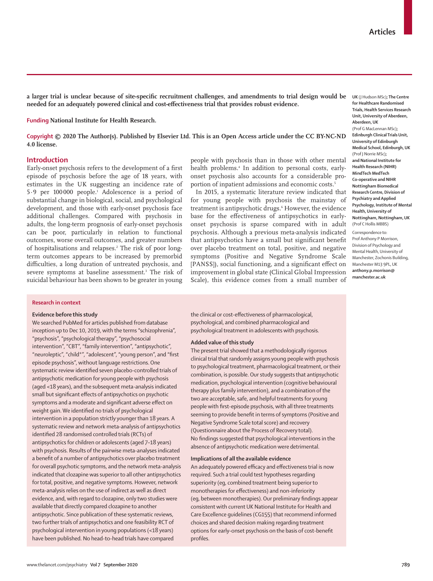**a** larger trial is unclear because of site-specific recruitment challenges, and amendments to trial design would be  $\,$  uk (J Hudson MSc); The Centre **needed for an adequately powered clinical and cost-effectiveness trial that provides robust evidence.**

**Funding National Institute for Health Research.**

**Copyright © 2020 The Author(s). Published by Elsevier Ltd. This is an Open Access article under the CC BY-NC-ND 4.0 license.**

#### **Introduction**

Early-onset psychosis refers to the development of a first episode of psychosis before the age of 18 years, with estimates in the UK suggesting an incidence rate of 5·9 per 100000 people.1 Adolescence is a period of substantial change in biological, social, and psychological development, and those with early-onset psychosis face additional challenges. Compared with psychosis in adults, the long-term prognosis of early-onset psychosis can be poor, particularly in relation to functional outcomes, worse overall outcomes, and greater numbers of hospitalisations and relapses.2 The risk of poor longterm outcomes appears to be increased by premorbid difficulties, a long duration of untreated psychosis, and severe symptoms at baseline assessment.3 The risk of suicidal behaviour has been shown to be greater in young

people with psychosis than in those with other mental health problems.4 In addition to personal costs, earlyonset psychosis also accounts for a considerable proportion of inpatient admissions and economic costs.<sup>5</sup>

In 2015, a systematic literature review indicated that for young people with psychosis the mainstay of treatment is antipsychotic drugs.<sup>6</sup> However, the evidence base for the effectiveness of antipsychotics in earlyonset psychosis is sparse compared with in adult psychosis. Although a previous meta-analysis indicated that antipsychotics have a small but significant benefit over placebo treatment on total, positive, and negative symptoms (Positive and Negative Syndrome Scale [PANSS]), social functioning, and a significant effect on improvement in global state (Clinical Global Impression Scale), this evidence comes from a small number of **for Healthcare Randomised Trials, Health Services Research Unit, University of Aberdeen, Aberdeen, UK** (Prof G MacLennan MSc)**; Edinburgh Clinical Trials Unit, University of Edinburgh Medical School, Edinburgh, UK** (Prof J Norrie MSc)**; and National Institute for Health Research (NIHR) MindTech MedTech Co-operative and NIHR Nottingham Biomedical Research Centre, Division of Psychiatry and Applied Psychology, Institute of Mental Health, University of Nottingham, Nottingham, UK** (Prof C Hollis MBBS)

Correspondence to: Prof Anthony P Morrison, Division of Psychology and Mental Health, University of Manchester, Zochonis Building, Manchester M13 QPL, LIK **anthony.p.morrison@ manchester.ac.uk**

#### **Research in context**

#### **Evidence before this study**

We searched PubMed for articles published from database inception up to Dec 10, 2019, with the terms "schizophrenia", "psychosis", "psychological therapy", "psychosocial intervention", "CBT", "family intervention", "antipsychotic", "neuroleptic", "child\*", "adolescent", "young person", and "first episode psychosis", without language restrictions. One systematic review identified seven placebo-controlled trials of antipsychotic medication for young people with psychosis (aged <18 years), and the subsequent meta-analysis indicated small but significant effects of antipsychotics on psychotic symptoms and a moderate and significant adverse effect on weight gain. We identified no trials of psychological intervention in a population strictly younger than 18 years. A systematic review and network meta-analysis of antipsychotics identified 28 randomised controlled trials (RCTs) of antipsychotics for children or adolescents (aged 7–18 years) with psychosis. Results of the pairwise meta-analyses indicated a benefit of a number of antipsychotics over placebo treatment for overall psychotic symptoms, and the network meta-analysis indicated that clozapine was superior to all other antipsychotics for total, positive, and negative symptoms. However, network meta-analysis relies on the use of indirect as well as direct evidence, and, with regard to clozapine, only two studies were available that directly compared clozapine to another antipsychotic. Since publication of these systematic reviews, two further trials of antipsychotics and one feasibility RCT of psychological intervention in young populations (<18 years) have been published. No head-to-head trials have compared

the clinical or cost-effectiveness of pharmacological, psychological, and combined pharmacological and psychological treatment in adolescents with psychosis.

#### **Added value of this study**

The present trial showed that a methodologically rigorous clinical trial that randomly assigns young people with psychosis to psychological treatment, pharmacological treatment, or their combination, is possible. Our study suggests that antipsychotic medication, psychological intervention (cognitive behavioural therapy plus family intervention), and a combination of the two are acceptable, safe, and helpful treatments for young people with first-episode psychosis, with all three treatments seeming to provide benefit in terms of symptoms (Positive and Negative Syndrome Scale total score) and recovery (Questionnaire about the Process of Recovery total). No findings suggested that psychological interventions in the absence of antipsychotic medication were detrimental.

#### **Implications of all the available evidence**

An adequately powered efficacy and effectiveness trial is now required. Such a trial could test hypotheses regarding superiority (eg, combined treatment being superior to monotherapies for effectiveness) and non-inferiority (eg, between monotherapies). Our preliminary findings appear consistent with current UK National Institute for Health and Care Excellence guidelines (CG155) that recommend informed choices and shared decision making regarding treatment options for early-onset psychosis on the basis of cost-benefit profiles.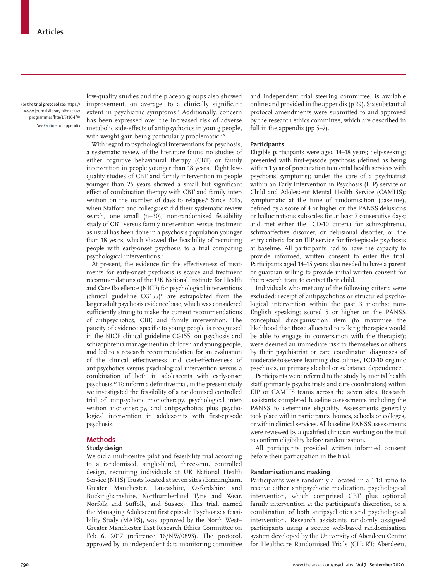For the **trial protocol** see https:// www.journalslibrary.nihr.ac.uk/ programmes/hta/153104/#/ See **Online** for appendix

low-quality studies and the placebo groups also showed improvement, on average, to a clinically significant extent in psychiatric symptoms.6 Additionally, concern has been expressed over the increased risk of adverse metabolic side-effects of antipsychotics in young people, with weight gain being particularly problematic.<sup>7,8</sup>

With regard to psychological interventions for psychosis, a systematic review of the literature found no studies of either cognitive behavioural therapy (CBT) or family intervention in people younger than 18 years.' Eight lowquality studies of CBT and family intervention in people younger than 25 years showed a small but significant effect of combination therapy with CBT and family intervention on the number of days to relapse.6 Since 2015, when Stafford and colleagues<sup>6</sup> did their systematic review search, one small (n=30), non-randomised feasibility study of CBT versus family intervention versus treatment as usual has been done in a psychosis population younger than 18 years, which showed the feasibility of recruiting people with early-onset psychosis to a trial comparing psychological interventions.9

At present, the evidence for the effectiveness of treatments for early-onset psychosis is scarce and treatment recommendations of the UK National Institute for Health and Care Excellence (NICE) for psychological interventions (clinical guideline  $CG155)$ <sup>10</sup> are extrapolated from the larger adult psychosis evidence base, which was considered sufficiently strong to make the current recommendations of antipsychotics, CBT, and family intervention. The paucity of evidence specific to young people is recognised in the NICE clinical guideline CG155, on psychosis and schizophrenia management in children and young people, and led to a research recommendation for an evaluation of the clinical effectiveness and cost-effectiveness of antipsychotics versus psychological intervention versus a combination of both in adolescents with early-onset psychosis.10 To inform a definitive trial, in the present study we investigated the feasibility of a randomised controlled trial of antipsychotic monotherapy, psychological intervention monotherapy, and antipsychotics plus psychological intervention in adolescents with first-episode psychosis.

#### **Methods**

#### **Study design**

We did a multicentre pilot and feasibility trial according to a randomised, single-blind, three-arm, controlled design, recruiting individuals at UK National Health Service (NHS) Trusts located at seven sites (Birmingham, Greater Manchester, Lancashire, Oxfordshire and Buckinghamshire, Northumberland Tyne and Wear, Norfolk and Suffolk, and Sussex). This trial, named the Managing Adolescent first episode Psychosis: a feasibility Study (MAPS), was approved by the North West– Greater Manchester East Research Ethics Committee on Feb 6, 2017 (reference 16/NW/0893). The protocol, approved by an independent data monitoring committee and independent trial steering committee, is available [online](https://www.journalslibrary.nihr.ac.uk/programmes/hta/153104/#/) and provided in the appendix (p 29). Six substantial protocol amendments were submitted to and approved by the research ethics committee, which are described in full in the appendix (pp 5–7).

#### **Participants**

Eligible participants were aged 14–18 years; help-seeking; presented with first-episode psychosis (defined as being within 1 year of presentation to mental health services with psychosis symptoms); under the care of a psychiatrist within an Early Intervention in Psychosis (EIP) service or Child and Adolescent Mental Health Service (CAMHS); symptomatic at the time of randomisation (baseline), defined by a score of 4 or higher on the PANSS delusions or hallucinations subscales for at least 7 consecutive days; and met either the ICD-10 criteria for schizophrenia, schizoaffective disorder, or delusional disorder, or the entry criteria for an EIP service for first-episode psychosis at baseline. All participants had to have the capacity to provide informed, written consent to enter the trial. Participants aged 14–15 years also needed to have a parent or guardian willing to provide initial written consent for the research team to contact their child.

Individuals who met any of the following criteria were excluded: receipt of antipsychotics or structured psychological intervention within the past 3 months; non-English speaking; scored 5 or higher on the PANSS conceptual disorganisation item (to maximise the likelihood that those allocated to talking therapies would be able to engage in conversation with the therapist); were deemed an immediate risk to themselves or others by their psychiatrist or care coordinator; diagnoses of moderate-to-severe learning disabilities, ICD-10 organic psychosis, or primary alcohol or substance dependence.

Participants were referred to the study by mental health staff (primarily psychiatrists and care coordinators) within EIP or CAMHS teams across the seven sites. Research assistants completed baseline assessments including the PANSS to determine eligibility. Assessments generally took place within participants' homes, schools or colleges, or within clinical services. All baseline PANSS assessments were reviewed by a qualified clinician working on the trial to confirm eligibility before randomisation.

All participants provided written informed consent before their participation in the trial.

#### **Randomisation and masking**

Participants were randomly allocated in a 1:1:1 ratio to receive either antipsychotic medication, psychological intervention, which comprised CBT plus optional family intervention at the participant's discretion, or a combination of both antipsychotics and psychological intervention. Research assistants randomly assigned participants using a secure web-based randomisation system developed by the University of Aberdeen Centre for Healthcare Randomised Trials (CHaRT; Aberdeen,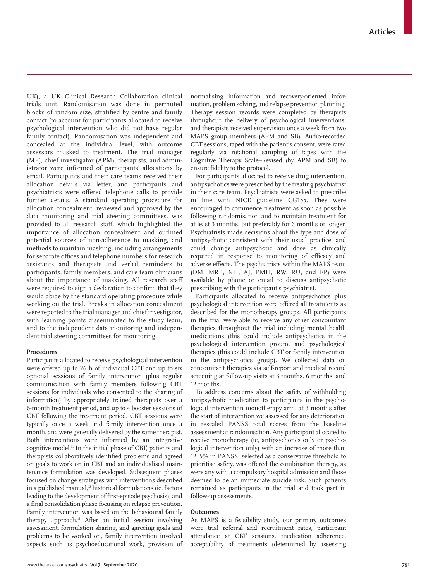UK), a UK Clinical Research Collaboration clinical trials unit. Randomisation was done in permuted blocks of random size, stratified by centre and family contact (to account for participants allocated to receive psychological intervention who did not have regular family contact). Randomisation was independent and concealed at the individual level, with outcome assessors masked to treatment. The trial manager (MP), chief investigator (APM), therapists, and administrator were informed of participants' allocations by email. Participants and their care teams received their allocation details via letter, and participants and psychiatrists were offered telephone calls to provide further details. A standard operating procedure for allocation concealment, reviewed and approved by the data monitoring and trial steering committees, was provided to all research staff, which highlighted the importance of allocation concealment and outlined potential sources of non-adherence to masking, and methods to maintain masking, including arrangements for separate offices and telephone numbers for research assistants and therapists and verbal reminders to participants, family members, and care team clinicians about the importance of masking. All research staff were required to sign a declaration to confirm that they would abide by the standard operating procedure while working on the trial. Breaks in allocation concealment were reported to the trial manager and chief investigator, with learning points disseminated to the study team, and to the independent data monitoring and independent trial steering committees for monitoring.

#### **Procedures**

Participants allocated to receive psychological intervention were offered up to 26 h of individual CBT and up to six optional sessions of family intervention (plus regular communication with family members following CBT sessions for individuals who consented to the sharing of information) by appropriately trained therapists over a 6-month treatment period, and up to 4 booster sessions of CBT following the treatment period. CBT sessions were typically once a week and family intervention once a month, and were generally delivered by the same therapist. Both interventions were informed by an integrative cognitive model.11 In the initial phase of CBT, patients and therapists collaboratively identified problems and agreed on goals to work on in CBT and an individualised maintenance formulation was developed. Subsequent phases focused on change strategies with interventions described in a published manual,<sup>12</sup> historical formulations (ie, factors leading to the development of first-episode psychosis), and a final consolidation phase focusing on relapse prevention. Family intervention was based on the behavioural family therapy approach.<sup>13</sup> After an initial session involving assessment, formulation sharing, and agreeing goals and problems to be worked on, family intervention involved aspects such as psychoeducational work, provision of normalising information and recovery-oriented information, problem solving, and relapse prevention planning. Therapy session records were completed by therapists throughout the delivery of psychological interventions, and therapists received supervision once a week from two MAPS group members (APM and SB). Audio-recorded CBT sessions, taped with the patient's consent, were rated regularly via rotational sampling of tapes with the Cognitive Therapy Scale–Revised (by APM and SB) to ensure fidelity to the protocol.

For participants allocated to receive drug intervention, antipsychotics were prescribed by the treating psychiatrist in their care team. Psychiatrists were asked to prescribe in line with NICE guideline CG155. They were encouraged to commence treatment as soon as possible following randomisation and to maintain treatment for at least 3 months, but preferably for 6 months or longer. Psychiatrists made decisions about the type and dose of antipsychotic consistent with their usual practice, and could change antipsychotic and dose as clinically required in response to monitoring of efficacy and adverse effects. The psychiatrists within the MAPS team (DM, MRB, NH, AJ, PMH, RW, RU, and FP) were available by phone or email to discuss antipsychotic prescribing with the participant's psychiatrist.

Participants allocated to receive antipsychotics plus psychological intervention were offered all treatments as described for the monotherapy groups. All participants in the trial were able to receive any other concomitant therapies throughout the trial including mental health medications (this could include antipsychotics in the psychological intervention group), and psychological therapies (this could include CBT or family intervention in the antipsychotics group). We collected data on concomitant therapies via self-report and medical record screening at follow-up visits at 3 months, 6 months, and 12 months.

To address concerns about the safety of withholding antipsychotic medication to participants in the psychological intervention monotherapy arm, at 3 months after the start of intervention we assessed for any deterioration in rescaled PANSS total scores from the baseline assessment at randomisation. Any participant allocated to receive monotherapy (ie, antipsychotics only or psychological intervention only) with an increase of more than 12·5% in PANSS, selected as a conservative threshold to prioritise safety, was offered the combination therapy, as were any with a compulsory hospital admission and those deemed to be an immediate suicide risk. Such patients remained as participants in the trial and took part in follow-up assessments.

#### **Outcomes**

As MAPS is a feasibility study, our primary outcomes were trial referral and recruitment rates, participant attendance at CBT sessions, medication adherence, acceptability of treatments (determined by assessing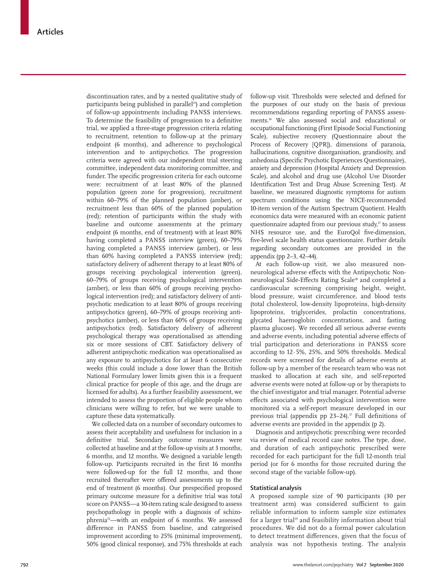discontinuation rates, and by a nested qualitative study of participants being published in parallel<sup>14</sup>) and completion of follow-up appointments including PANSS interviews. To determine the feasibility of progression to a definitive trial, we applied a three-stage progression criteria relating to recruitment, retention to follow-up at the primary endpoint (6 months), and adherence to psychological intervention and to antipsychotics. The progression criteria were agreed with our independent trial steering committee, independent data monitoring committee, and funder. The specific progression criteria for each outcome were: recruitment of at least 80% of the planned population (green zone for progression), recruitment within 60–79% of the planned population (amber), or recruitment less than 60% of the planned population (red); retention of participants within the study with baseline and outcome assessments at the primary endpoint (6 months, end of treatment) with at least 80% having completed a PANSS interview (green), 60–79% having completed a PANSS interview (amber), or less than 60% having completed a PANSS interview (red); satisfactory delivery of adherent therapy to at least 80% of groups receiving psychological intervention (green), 60–79% of groups receiving psychological intervention (amber), or less than 60% of groups receiving psychological intervention (red); and satisfactory delivery of antipsychotic medication to at least 80% of groups receiving antipsychotics (green), 60–79% of groups receiving antipsychotics (amber), or less than 60% of groups receiving antipsychotics (red). Satisfactory delivery of adherent psychological therapy was operationalised as attending six or more sessions of CBT. Satisfactory delivery of adherent antipsychotic medication was operationalised as any exposure to antipsychotics for at least 6 consecutive weeks (this could include a dose lower than the British National Formulary lower limits given this is a frequent clinical practice for people of this age, and the drugs are licensed for adults). As a further feasibility assessment, we intended to assess the proportion of eligible people whom clinicians were willing to refer, but we were unable to capture these data systematically.

We collected data on a number of secondary outcomes to assess their acceptability and usefulness for inclusion in a definitive trial. Secondary outcome measures were collected at baseline and at the follow-up visits at 3 months, 6 months, and 12 months. We designed a variable length follow-up. Participants recruited in the first 16 months were followed-up for the full 12 months, and those recruited thereafter were offered assessments up to the end of treatment (6 months). Our prespecified proposed primary outcome measure for a definitive trial was total score on PANSS—a 30-item rating scale designed to assess psychopathology in people with a diagnosis of schizophrenia<sup>15</sup>—with an endpoint of 6 months. We assessed difference in PANSS from baseline, and categorised improvement according to 25% (minimal improvement), 50% (good clinical response), and 75% thresholds at each follow-up visit. Thresholds were selected and defined for the purposes of our study on the basis of previous recommendations regarding reporting of PANSS assessments.16 We also assessed social and educational or occupational functioning (First Episode Social Functioning Scale), subjective recovery (Questionnaire about the Process of Recovery [QPR]), dimensions of paranoia, hallucinations, cognitive disorganisation, grandiosity, and anhedonia (Specific Psychotic Experiences Questionnaire), anxiety and depression (Hospital Anxiety and Depression Scale), and alcohol and drug use (Alcohol Use Disorder Identification Test and Drug Abuse Screening Test). At baseline, we measured diagnostic symptoms for autism spectrum conditions using the NICE-recommended 10-item version of the Autism Spectrum Quotient. Health economics data were measured with an economic patient questionnaire adapted from our previous study, $\theta$  to assess NHS resource use, and the EuroQol five-dimension, five-level scale health status questionnaire. Further details regarding secondary outcomes are provided in the appendix (pp 2–3, 42–44).

At each follow-up visit, we also measured nonneurological adverse effects with the Antipsychotic Nonneurological Side-Effects Rating Scale<sup>18</sup> and completed a cardiovascular screening comprising height, weight, blood pressure, waist circumference, and blood tests (total cholesterol, low-density lipoproteins, high-density lipoproteins, triglycerides, prolactin concentrations, glycated haemoglobin concentrations, and fasting plasma glucose). We recorded all serious adverse events and adverse events, including potential adverse effects of trial participation and deteriorations in PANSS score according to 12·5%, 25%, and 50% thresholds. Medical records were screened for details of adverse events at follow-up by a member of the research team who was not masked to allocation at each site, and self-reported adverse events were noted at follow-up or by therapists to the chief investigator and trial manager. Potential adverse effects associated with psychological intervention were monitored via a self-report measure developed in our previous trial (appendix pp  $23-24$ ).<sup>17</sup> Full definitions of adverse events are provided in the appendix (p 2).

Diagnosis and antipsychotic prescribing were recorded via review of medical record case notes. The type, dose, and duration of each antipsychotic prescribed were recorded for each participant for the full 12-month trial period (or for 6 months for those recruited during the second stage of the variable follow-up).

#### **Statistical analysis**

A proposed sample size of 90 participants (30 per treatment arm) was considered sufficient to gain reliable information to inform sample size estimates for a larger trial<sup>19</sup> and feasibility information about trial procedures. We did not do a formal power calculation to detect treatment differences, given that the focus of analysis was not hypothesis testing. The analysis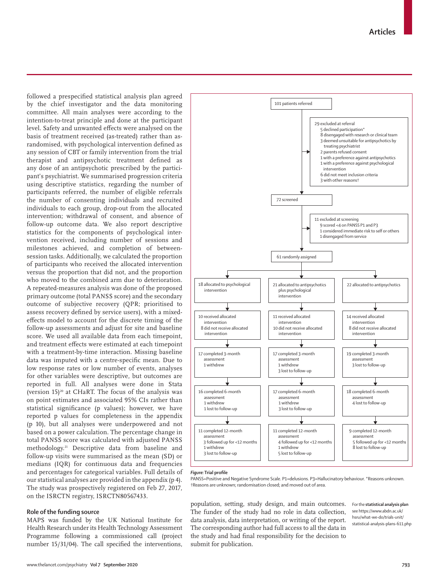followed a prespecified [statistical analysis plan](https://www.abdn.ac.uk/hsru/what-we-do/trials-unit/statistical-analysis-plans-611.php) agreed by the chief investigator and the data monitoring committee. All main analyses were according to the intention-to-treat principle and done at the participant level. Safety and unwanted effects were analysed on the basis of treatment received (as-treated) rather than asrandomised, with psychological intervention defined as any session of CBT or family intervention from the trial therapist and antipsychotic treatment defined as any dose of an antipsychotic prescribed by the participant's psychiatrist. We summarised progression criteria using descriptive statistics, regarding the number of participants referred, the number of eligible referrals the number of consenting individuals and recruited individuals to each group, drop-out from the allocated intervention; withdrawal of consent, and absence of follow-up outcome data. We also report descriptive statistics for the components of psychological intervention received, including number of sessions and milestones achieved, and completion of betweensession tasks. Additionally, we calculated the proportion of participants who received the allocated intervention versus the proportion that did not, and the proportion who moved to the combined arm due to deterioration. A repeated-measures analysis was done of the proposed primary outcome (total PANSS score) and the secondary outcome of subjective recovery (QPR; prioritised to assess recovery defined by service users), with a mixedeffects model to account for the discrete timing of the follow-up assessments and adjust for site and baseline score. We used all available data from each timepoint, and treatment effects were estimated at each timepoint with a treatment-by-time interaction. Missing baseline data was imputed with a centre-specific mean. Due to low response rates or low number of events, analyses for other variables were descriptive, but outcomes are reported in full. All analyses were done in Stata (version  $15)^{20}$  at CHaRT. The focus of the analysis was on point estimates and associated 95% CIs rather than statistical significance (p values); however, we have reported p values for completeness in the appendix (p 10), but all analyses were underpowered and not based on a power calculation. The percentage change in total PANSS score was calculated with adjusted PANSS methodology.21 Descriptive data from baseline and follow-up visits were summarised as the mean (SD) or medians (IQR) for continuous data and frequencies and percentages for categorical variables. Full details of our statistical analyses are provided in the appendix (p 4). The study was prospectively registered on Feb 27, 2017, on the ISRCTN registry, ISRCTN80567433.

#### **Role of the funding source**

MAPS was funded by the UK National Institute for Health Research under its Health Technology Assessment Programme following a commissioned call (project number 15/31/04). The call specified the interventions,



#### *Figure:* **Trial profile**

PANSS=Positive and Negative Syndrome Scale. P1=delusions. P3=Hallucinatory behaviour. \*Reasons unknown. †Reasons are unknown; randomisation closed; and moved out of area.

population, setting, study design, and main outcomes. The funder of the study had no role in data collection, data analysis, data interpretation, or writing of the report. The corresponding author had full access to all the data in the study and had final responsibility for the decision to submit for publication.

For the **statistical analysis plan**  see https://www.abdn.ac.uk/ hsru/what-we-do/trials-unit/ statistical-analysis-plans-611.php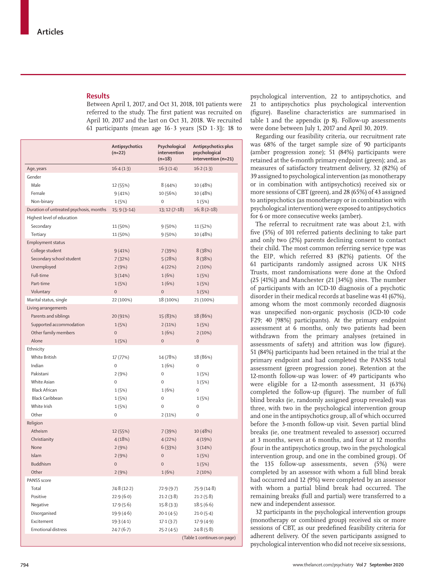#### **Results**

Between April 1, 2017, and Oct 31, 2018, 101 patients were referred to the study. The first patient was recruited on April 10, 2017 and the last on Oct 31, 2018. We recruited 61 participants (mean age  $16·3$  years [SD  $1·3$ ]): 18 to

|                                         | Antipsychotics<br>$(n=22)$ | Psychological<br>intervention<br>$(n=18)$ | Antipsychotics plus<br>psychological<br>intervention (n=21) |
|-----------------------------------------|----------------------------|-------------------------------------------|-------------------------------------------------------------|
| Age, years                              | 16.4(1.3)                  | 16.3(1.4)                                 | 16.2(1.3)                                                   |
| Gender                                  |                            |                                           |                                                             |
| Male                                    | 12 (55%)                   | 8(44%)                                    | 10 (48%)                                                    |
| Female                                  | 9(41%)                     | 10 (56%)                                  | 10 (48%)                                                    |
| Non-binary                              | 1(5%)                      | $\boldsymbol{0}$                          | 1(5%)                                                       |
| Duration of untreated psychosis, months | $15; 9(3-14)$              | $13; 12(7-18)$                            | $16; 8(2-18)$                                               |
| Highest level of education              |                            |                                           |                                                             |
| Secondary                               | 11 (50%)                   | 9(50%)                                    | 11 (52%)                                                    |
| Tertiary                                | 11 (50%)                   | 9(50%)                                    | 10 (48%)                                                    |
| <b>Employment status</b>                |                            |                                           |                                                             |
| College student                         | 9(41%)                     | 7 (39%)                                   | 8(38%)                                                      |
| Secondary school student                | 7(32%)                     | 5(28%)                                    | 8(38%)                                                      |
| Unemployed                              | 2(9%)                      | 4(22%)                                    | 2(10%)                                                      |
| Full-time                               | 3(14%)                     | 1(6%)                                     | 1(5%)                                                       |
| Part-time                               | 1(5%)                      | 1(6%)                                     | 1(5%)                                                       |
| Voluntary                               | $\mathbf 0$                | $\mathbf{O}$                              | 1(5%)                                                       |
| Marital status, single                  | 22 (100%)                  | 18 (100%)                                 | 21 (100%)                                                   |
| Living arrangements                     |                            |                                           |                                                             |
| Parents and siblings                    | 20 (91%)                   | 15 (83%)                                  | 18 (86%)                                                    |
| Supported accommodation                 | 1(5%)                      | 2(11%)                                    | 1(5%)                                                       |
| Other family members                    | $\overline{0}$             | 1(6%)                                     | 2(10%)                                                      |
| Alone                                   | 1(5%)                      | $\mathsf{O}\xspace$                       | $\mathbf 0$                                                 |
| Ethnicity                               |                            |                                           |                                                             |
| White British                           | 17 (77%)                   | 14 (78%)                                  | 18 (86%)                                                    |
| Indian                                  | $\mathsf{O}\xspace$        | 1 (6%)                                    | 0                                                           |
| Pakistani                               | 2(9%)                      | $\mathbf 0$                               | 1(5%)                                                       |
| White Asian                             | 0                          | 0                                         | 1(5%)                                                       |
| <b>Black African</b>                    | 1(5%)                      | 1(6%)                                     | 0                                                           |
| <b>Black Caribbean</b>                  | 1(5%)                      | 0                                         | 1(5%)                                                       |
| White Irish                             | 1(5%)                      | 0                                         | $\mathbf 0$                                                 |
| Other                                   | 0                          | 2(11%)                                    | 0                                                           |
| Religion                                |                            |                                           |                                                             |
| Atheism                                 | 12 (55%)                   | 7 (39%)                                   | 10 (48%)                                                    |
| Christianity                            | 4(18%)                     | 4(22%)                                    | 4 (19%)                                                     |
| None                                    | 2(9%)                      | 6(33%)                                    | 3(14%)                                                      |
| <b>Islam</b>                            | 2(9%)                      | $\mathbf 0$                               | 1(5%)                                                       |
| Buddhism                                | $\mathbf{0}$               | $\mathbf 0$                               | 1(5%)                                                       |
| Other                                   | 2(9%)                      | 1(6%)                                     | 2(10%)                                                      |
| PANSS score                             |                            |                                           |                                                             |
| Total                                   | 74.8(12.2)                 | 72.9(9.7)                                 | 75.9(14.8)                                                  |
| Positive                                | 22.9(6.0)                  | 21.2(3.8)                                 | 21.2(5.8)                                                   |
| Negative                                | 17.9(5.6)                  | 15.8(3.3)                                 | 18.5(6.6)                                                   |
| Disorganised                            | 19.9(4.6)                  | 20.1(4.5)                                 | 21.0(5.4)                                                   |
| Excitement                              | 19.3(4.1)                  | 17.1(3.7)                                 | 17.9(4.9)                                                   |
| <b>Emotional distress</b>               | 24.7(6.7)                  | 25.2(4.5)                                 | 24.8(5.8)                                                   |
|                                         |                            |                                           | (Table 1 continues on page)                                 |

psychological intervention, 22 to antipsychotics, and 21 to antipsychotics plus psychological intervention (figure). Baseline characteristics are summarised in table 1 and the appendix (p 8). Follow-up assessments were done between July 1, 2017 and April 30, 2019.

Regarding our feasibility criteria, our recruitment rate was 68% of the target sample size of 90 participants (amber progression zone); 51 (84%) participants were retained at the 6-month primary endpoint (green); and, as measures of satisfactory treatment delivery, 32 (82%) of 39 assigned to psychological intervention (as monotherapy or in combination with antipsychotics) received six or more sessions of CBT (green), and 28 (65%) of 43 assigned to antipsychotics (as monotherapy or in combination with psychological intervention) were exposed to antipsychotics for 6 or more consecutive weeks (amber).

The referral to recruitment rate was about 2:1, with five (5%) of 101 referred patients declining to take part and only two (2%) parents declining consent to contact their child. The most common referring service type was the EIP, which referred 83 (82%) patients. Of the 61 participants randomly assigned across UK NHS Trusts, most randomisations were done at the Oxford (25 [41%]) and Manchester (21 [34%]) sites. The number of participants with an ICD-10 diagnosis of a psychotic disorder in their medical records at baseline was 41 (67%), among whom the most commonly recorded diagnosis was unspecified non-organic psychosis (ICD-10 code F29; 40 [98%] participants). At the primary endpoint assessment at 6 months, only two patients had been withdrawn from the primary analyses (retained in assessments of safety) and attrition was low (figure). 51 (84%) participants had been retained in the trial at the primary endpoint and had completed the PANSS total assessment (green progression zone). Retention at the 12-month follow-up was lower: of 49 participants who were eligible for a 12-month assessment, 31 (63%) completed the follow-up (figure). The number of full blind breaks (ie, randomly assigned group revealed) was three, with two in the psychological intervention group and one in the antipsychotics group, all of which occurred before the 3-month follow-up visit. Seven partial blind breaks (ie, one treatment revealed to assessor) occurred at 3 months, seven at 6 months, and four at 12 months (four in the antipsychotics group, two in the psychological intervention group, and one in the combined group). Of the 135 follow-up assessments, seven (5%) were completed by an assessor with whom a full blind break had occurred and 12 (9%) were completed by an assessor with whom a partial blind break had occurred. The remaining breaks (full and partial) were transferred to a new and independent assessor.

32 participants in the psychological intervention groups (monotherapy or combined group) received six or more sessions of CBT, as our predefined feasibility criteria for adherent delivery. Of the seven participants assigned to psychological intervention who did not receive six sessions,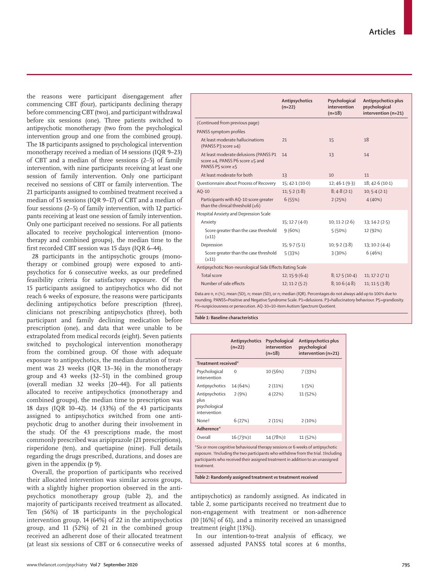the reasons were participant disengagement after commencing CBT (four), participants declining therapy before commencing CBT (two), and participant withdrawal before six sessions (one). Three patients switched to antipsychotic monotherapy (two from the psychological intervention group and one from the combined group). The 18 participants assigned to psychological intervention monotherapy received a median of 14 sessions (IQR 9–23) of CBT and a median of three sessions (2–5) of family intervention, with nine participants receiving at least one session of family intervention. Only one participant received no sessions of CBT or family intervention. The 21 participants assigned to combined treatment received a median of 15 sessions (IQR 9–17) of CBT and a median of four sessions (2–5) of family intervention, with 12 participants receiving at least one session of family intervention. Only one participant received no sessions. For all patients allocated to receive psychological intervention (monotherapy and combined groups), the median time to the first recorded CBT session was 15 days (IQR 6–44).

28 participants in the antipsychotic groups (monotherapy or combined group) were exposed to antipsychotics for 6 consecutive weeks, as our predefined feasibility criteria for satisfactory exposure. Of the 15 participants assigned to antipsychotics who did not reach 6 weeks of exposure, the reasons were participants declining antipsychotics before prescription (three), clinicians not prescribing antipsychotics (three), both participant and family declining medication before prescription (one), and data that were unable to be extrapolated from medical records (eight). Seven patients switched to psychological intervention monotherapy from the combined group. Of those with adequate exposure to antipsychotics, the median duration of treatment was 23 weeks (IQR 13–36) in the monotherapy group and 43 weeks (32–51) in the combined group (overall median 32 weeks [20–44]). For all patients allocated to receive antipsychotics (monotherapy and combined groups), the median time to prescription was 18 days (IQR 10–42). 14 (33%) of the 43 participants assigned to antipsychotics switched from one antipsychotic drug to another during their involvement in the study. Of the 43 prescriptions made, the most commonly prescribed was aripiprazole (21 prescriptions), risperidone (ten), and quetiapine (nine). Full details regarding the drugs prescribed, durations, and doses are given in the appendix (p 9).

Overall, the proportion of participants who received their allocated intervention was similar across groups, with a slightly higher proportion observed in the antipsychotics monotherapy group (table 2), and the majority of participants received treatment as allocated. Ten (56%) of 18 participants in the psychological intervention group, 14 (64%) of 22 in the antipsychotics group, and 11 (52%) of 21 in the combined group received an adherent dose of their allocated treatment (at least six sessions of CBT or 6 consecutive weeks of

|                                                                                               | Antipsychotics<br>$(n=22)$   | Psychological<br>intervention<br>$(n=18)$ | Antipsychotics plus<br>psychological<br>intervention (n=21) |  |
|-----------------------------------------------------------------------------------------------|------------------------------|-------------------------------------------|-------------------------------------------------------------|--|
| (Continued from previous page)                                                                |                              |                                           |                                                             |  |
| PANSS symptom profiles                                                                        |                              |                                           |                                                             |  |
| At least moderate hallucinations<br>(PANSS P3 score $\geq$ 4)                                 | 21                           | 15                                        | 18                                                          |  |
| At least moderate delusions (PANSS P1<br>score ≥4, PANSS P6 score ≥5 and<br>PANSS P5 score ≥5 | 14                           | 13                                        | 14                                                          |  |
| At least moderate for both                                                                    | 13                           | 10                                        | 11                                                          |  |
| Questionnaire about Process of Recovery                                                       | 15; 42.1 (10.0)              | $12; 46 \cdot 1 (9 \cdot 3)$              | 18; 42.6(10.1)                                              |  |
| AQ-10                                                                                         | 11; 5.2(1.8)                 | 8; 4.8(2.1)                               | 10; 5.4 (2.1)                                               |  |
| Participants with AQ-10 score greater<br>than the clinical threshold $(≥6)$                   | 6(55%)                       | 2(25%)                                    | 4(40%)                                                      |  |
| Hospital Anxiety and Depression Scale                                                         |                              |                                           |                                                             |  |
| Anxiety                                                                                       | $15; 12 \cdot 7(4 \cdot 0)$  | $10; 11 \cdot 2 (2 \cdot 6)$              | $13; 14 \cdot 2 (2 \cdot 5)$                                |  |
| Score greater than the case threshold<br>(211)                                                | 9(60%)                       | 5(50%)                                    | 12 (92%)                                                    |  |
| Depression                                                                                    | $15; 9 \cdot 7(5 \cdot 1)$   | 10; 9.2 (3.8)                             | 13; 10.2 (4.4)                                              |  |
| Score greater than the case threshold<br>(211)                                                | 5(33%)                       | 3(30%)                                    | 6(46%)                                                      |  |
| Antipsychotic Non-neurological Side Effects Rating Scale                                      |                              |                                           |                                                             |  |
| Total score                                                                                   | 12; 15.9(6.4)                | 8; 17.5(10.4)                             | $11; 17 \cdot 2 (7 \cdot 1)$                                |  |
| Number of side effects                                                                        | $12; 11 \cdot 2 (5 \cdot 2)$ | 8:10.6(4.8)                               | 11; 11.5 (3.8)                                              |  |

Data are n, n (%), mean (SD), n; mean (SD), or n; median (IQR). Percentages do not always add up to 100% due to rounding. PANSS=Positive and Negative Syndrome Scale. P1=delusions. P3=hallucinatory behaviour. P5=grandiosity. P6=suspiciousness or persecution. AQ-10=10-item Autism Spectrum Quotient.

*Table 1:* **Baseline characteristics**

|                                                                                                                                                                                                                                                                       | Antipsychotics<br>$(n=22)$ | Psychological<br>intervention<br>$(n=18)$ | Antipsychotics plus<br>psychological<br>intervention (n=21) |  |
|-----------------------------------------------------------------------------------------------------------------------------------------------------------------------------------------------------------------------------------------------------------------------|----------------------------|-------------------------------------------|-------------------------------------------------------------|--|
| Treatment received*                                                                                                                                                                                                                                                   |                            |                                           |                                                             |  |
| Psychological<br>intervention                                                                                                                                                                                                                                         | $\Omega$                   | 10 (56%)                                  | 7(33%)                                                      |  |
| Antipsychotics                                                                                                                                                                                                                                                        | 14 (64%)                   | 2(11%)                                    | 1(5%)                                                       |  |
| Antipsychotics<br>plus<br>psychological<br>intervention                                                                                                                                                                                                               | 2(9%)                      | 4(22%)                                    | 11 (52%)                                                    |  |
| None <sup>+</sup>                                                                                                                                                                                                                                                     | 6(27%)                     | 2(11%)                                    | 2(10%)                                                      |  |
| Adherence*                                                                                                                                                                                                                                                            |                            |                                           |                                                             |  |
| Overall                                                                                                                                                                                                                                                               | 16 (73%)‡                  | 14 (78%)‡                                 | 11 (52%)                                                    |  |
| *Six or more cognitive behavioural therapy sessions or 6 weeks of antipsychotic<br>exposure. †Including the two participants who withdrew from the trial. ‡Including<br>participants who received their assigned treatment in addition to an unassigned<br>treatment. |                            |                                           |                                                             |  |
| Table 2: Randomly assigned treatment vs treatment received                                                                                                                                                                                                            |                            |                                           |                                                             |  |

antipsychotics) as randomly assigned. As indicated in table 2, some participants received no treatment due to non-engagement with treatment or non-adherence (10 [16%] of 61), and a minority received an unassigned treatment (eight [13%]).

In our intention-to-treat analysis of efficacy, we assessed adjusted PANSS total scores at 6 months,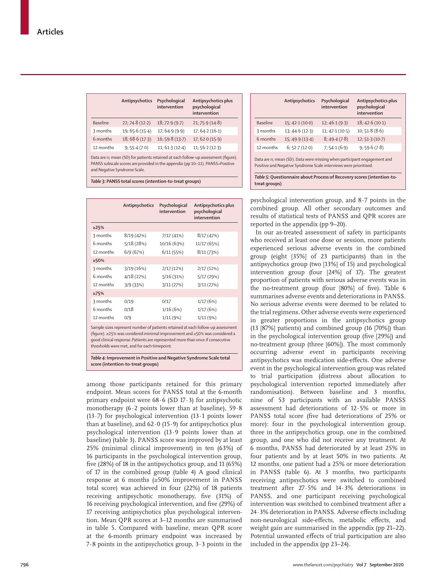|                                                                                                                                                                                                     | Antipsychotics | Psychological<br>intervention | Antipsychotics plus<br>psychological<br>intervention |  |
|-----------------------------------------------------------------------------------------------------------------------------------------------------------------------------------------------------|----------------|-------------------------------|------------------------------------------------------|--|
| <b>Baseline</b>                                                                                                                                                                                     | 22;74.8(12.2)  | 18;72.9(9.7)                  | 21;75.9(14.8)                                        |  |
| 3 months                                                                                                                                                                                            | 19; 65.6(15.4) | 17; 64.9(9.9)                 | $17; 64 \cdot 2 (16 \cdot 1)$                        |  |
| 6 months                                                                                                                                                                                            | 18;68.6(17.3)  | 16; 59.8(13.7)                | 17;62.0(15.9)                                        |  |
| 12 months                                                                                                                                                                                           | 9;55.4(7.0)    | $11; 61 \cdot 3(12 \cdot 4)$  | $11; 56 \cdot 2 (12 \cdot 3)$                        |  |
| Data are n; mean (SD) for patients retained at each follow-up assessment (figure).<br>PANSS subscale scores are provided in the appendix (pp 10-11). PANSS=Positive<br>and Negative Syndrome Scale. |                |                               |                                                      |  |

*Table 3:* **PANSS total scores (intention-to-treat groups)**

| Antipsychotics | Psychological<br>intervention | Antipsychotics plus<br>psychological<br>intervention |
|----------------|-------------------------------|------------------------------------------------------|
|                |                               |                                                      |
| 8/19 (42%)     | 7/17(41%)                     | 8/17(47%)                                            |
| 5/18(28%)      | 10/16 (63%)                   | 11/17 (65%)                                          |
| 6/9(67%)       | 6/11(55%)                     | 8/11(73%)                                            |
|                |                               |                                                      |
| 3/19(16%)      | 2/17(12%)                     | 2/17(12%)                                            |
| 4/18(22%)      | 5/16(31%)                     | 5/17 (29%)                                           |
| 3/9(33%)       | 3/11(27%)                     | 3/11(27%)                                            |
|                |                               |                                                      |
| 0/19           | 0/17                          | 1/17(6%)                                             |
| 0/18           | 1/16(6%)                      | 1/17(6%)                                             |
| 0/9            | 1/11(9%)                      | 1/11(9%)                                             |
|                |                               |                                                      |

Sample sizes represent number of patients retained at each follow-up assessment (figure). ≥25% was conidered minimal improvement and ≥50% was considered a good clinical response.Patients are represented more than once if consecutive thresholds were met, and for each timepoint.

*Table 4:* **Improvement in Positive and Negative Syndrome Scale total score (intention-to-treat groups)**

among those participants retained for this primary endpoint. Mean scores for PANSS total at the 6-month primary endpoint were  $68.6$  (SD 17.3) for antipsychotic monotherapy (6 $\cdot$ 2 points lower than at baseline), 59 $\cdot$ 8 (13·7) for psychological intervention (13·1 points lower than at baseline), and  $62.0$  (15.9) for antipsychotics plus psychological intervention (13·9 points lower than at baseline) (table 3). PANSS score was improved by at least 25% (minimal clinical improvement) in ten (63%) of 16 participants in the psychological intervention group, five (28%) of 18 in the antipsychotics group, and 11 (65%) of 17 in the combined group (table 4) A good clinical response at 6 months (≥50% improvement in PANSS total score) was achieved in four (22%) of 18 patients receiving antipsychotic monotherapy, five (31%) of 16 receiving psychological intervention, and five (29%) of 17 receiving antipsychotics plus psychological intervention. Mean QPR scores at 3–12 months are summarised in table 5. Compared with baseline, mean QPR score at the 6-month primary endpoint was increased by 7.8 points in the antipsychotics group,  $3.3$  points in the

|                                                                                                                                               | Antipsychotics               | Psychological<br>intervention | Antipsychotics plus<br>psychological<br>intervention |  |
|-----------------------------------------------------------------------------------------------------------------------------------------------|------------------------------|-------------------------------|------------------------------------------------------|--|
| <b>Baseline</b>                                                                                                                               | $15; 42 \cdot 1(10 \cdot 0)$ | $12; 46 \cdot 1 (9 \cdot 3)$  | 18; 42.6(10.1)                                       |  |
| 3 months                                                                                                                                      | 13; 44.6(12.3)               | 11; 47·1(10·5)                | 10; 51.8(8.6)                                        |  |
| 6 months                                                                                                                                      | 15; 49.9 (13.4)              | 8;49.4(7.8)                   | $12; 51 \cdot 3 (10 \cdot 7)$                        |  |
| 12 months                                                                                                                                     | $6; 52 \cdot 7(12 \cdot 0)$  | 7:54.1(6.9)                   | 9:59.6(7.8)                                          |  |
| Data are n; mean (SD). Data were missing when participant engagement and<br>Positive and Negative Syndrome Scale interviews were prioritised. |                              |                               |                                                      |  |
| Table 5: Questionnaire about Process of Recovery scores (intention-to-<br>treat groups)                                                       |                              |                               |                                                      |  |

psychological intervention group, and 8·7 points in the combined group. All other secondary outcomes and results of statistical tests of PANSS and QPR scores are reported in the appendix (pp 9–20).

In our as-treated assessment of safety in participants who received at least one dose or session, more patients experienced serious adverse events in the combined group (eight [35%] of 23 participants) than in the antipsychotics group (two [13%] of 15) and psychological intervention group (four [24%] of 17). The greatest proportion of patients with serious adverse events was in the no-treatment group (four [80%] of five). Table 6 summarises adverse events and deteriorations in PANSS. No serious adverse events were deemed to be related to the trial regimens. Other adverse events were experienced in greater proportions in the antipsychotics group (13 [87%] patients) and combined group (16 [70%]) than in the psychological intervention group (five [29%]) and no-treatment group (three [60%]). The most commonly occurring adverse event in participants receiving antipsychotics was medication side-effects. One adverse event in the psychological intervention group was related to trial participation (distress about allocation to psychological intervention reported immediately after randomisation). Between baseline and 3 months, nine of 53 participants with an available PANSS assessment had deteriorations of 12·5% or more in PANSS total score (five had deteriorations of 25% or more): four in the psychological intervention group, three in the antipsychotics group, one in the combined group, and one who did not receive any treatment. At 6 months, PANSS had deteriorated by at least 25% in four patients and by at least 50% in two patients. At 12 months, one patient had a 25% or more deterioration in PANSS (table 6). At 3 months, two participants receiving antipsychotics were switched to combined treatment after 27·5% and 14·3% deteriorations in PANSS, and one participant receiving psychological intervention was switched to combined treatment after a 24·3% deterioration in PANSS. Adverse effects including non-neurological side-effects, metabolic effects, and weight gain are summarised in the appendix (pp 21–22). Potential unwanted effects of trial participation are also included in the appendix (pp 23–24).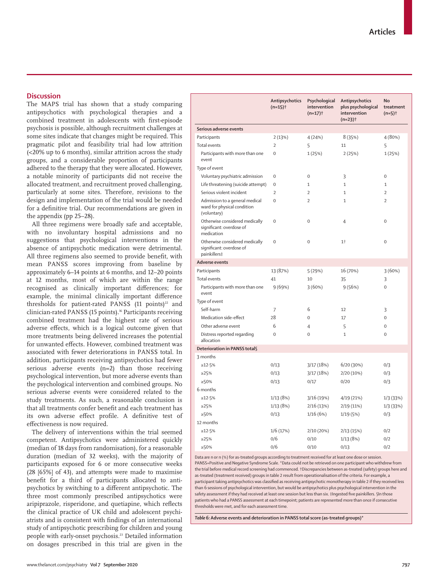#### **Discussion**

The MAPS trial has shown that a study comparing antipsychotics with psychological therapies and a combined treatment in adolescents with first-episode psychosis is possible, although recruitment challenges at some sites indicate that changes might be required. This pragmatic pilot and feasibility trial had low attrition (<20% up to 6 months), similar attrition across the study groups, and a considerable proportion of participants adhered to the therapy that they were allocated. However, a notable minority of participants did not receive the allocated treatment, and recruitment proved challenging, particularly at some sites. Therefore, revisions to the design and implementation of the trial would be needed for a definitive trial. Our recommendations are given in the appendix (pp 25–28).

All three regimens were broadly safe and acceptable, with no involuntary hospital admissions and no suggestions that psychological interventions in the absence of antipsychotic medication were detrimental. All three regimens also seemed to provide benefit, with mean PANSS scores improving from baseline by approximately 6–14 points at 6 months, and 12–20 points at 12 months, most of which are within the range recognised as clinically important differences; for example, the minimal clinically important difference thresholds for patient-rated PANSS  $(11 \text{ points})^{22}$  and clinician-rated PANSS (15 points).<sup>16</sup> Participants receiving combined treatment had the highest rate of serious adverse effects, which is a logical outcome given that more treatments being delivered increases the potential for unwanted effects. However, combined treatment was associated with fewer deteriorations in PANSS total. In addition, participants receiving antipsychotics had fewer serious adverse events  $(n=2)$  than those receiving psychological intervention, but more adverse events than the psychological intervention and combined groups. No serious adverse events were considered related to the study treatments. As such, a reasonable conclusion is that all treatments confer benefit and each treatment has its own adverse effect profile. A definitive test of effectiveness is now required.

The delivery of interventions within the trial seemed competent. Antipsychotics were administered quickly (median of 18 days from randomisation), for a reasonable duration (median of 32 weeks), with the majority of participants exposed for 6 or more consecutive weeks (28 [65%] of 43), and attempts were made to maximise benefit for a third of participants allocated to antipsychotics by switching to a different antipsychotic. The three most commonly prescribed antipsychotics were aripiprazole, risperidone, and quetiapine, which reflects the clinical practice of UK child and adolescent psychiatrists and is consistent with findings of an international study of antipsychotic prescribing for children and young people with early-onset psychosis.23 Detailed information on dosages prescribed in this trial are given in the

|                                                                              | Antipsychotics<br>$(n=15)$ <sup>+</sup> | Psychological<br>intervention<br>$(n=17)$ <sup>+</sup> | Antipsychotics<br>plus psychological<br>intervention<br>$(n=23)$ <sup>+</sup> | <b>No</b><br>treatment<br>$(n=5)$ <sup>†</sup> |
|------------------------------------------------------------------------------|-----------------------------------------|--------------------------------------------------------|-------------------------------------------------------------------------------|------------------------------------------------|
| Serious adverse events                                                       |                                         |                                                        |                                                                               |                                                |
| Participants                                                                 | 2(13%)                                  | 4 (24%)                                                | 8 (35%)                                                                       | 4 (80%)                                        |
| Total events                                                                 | $\overline{2}$                          | 5                                                      | 11                                                                            | 5                                              |
| Participants with more than one<br>event                                     | $\overline{0}$                          | 1(25%)                                                 | 2(25%)                                                                        | 1(25%)                                         |
| Type of event                                                                |                                         |                                                        |                                                                               |                                                |
| Voluntary psychiatric admission                                              | $\mathbf 0$                             | $\mathbf 0$                                            | 3                                                                             | 0                                              |
| Life threatening (suicide attempt)                                           | 0                                       | $\mathbf{1}$                                           | $\mathbf{1}$                                                                  | $\mathbf 1$                                    |
| Serious violent incident                                                     | $\overline{2}$                          | $\overline{2}$                                         | $\mathbf{1}$                                                                  | $\overline{2}$                                 |
| Admission to a general medical<br>ward for physical condition<br>(voluntary) | $\overline{0}$                          | $\overline{2}$                                         | $\mathbf{1}$                                                                  | $\overline{2}$                                 |
| Otherwise considered medically<br>significant: overdose of<br>medication     | 0                                       | $\mathbf 0$                                            | 4                                                                             | 0                                              |
| Otherwise considered medically<br>significant: overdose of<br>painkillers‡   | $\mathbf 0$                             | $\mathbf 0$                                            | 1 <sup>†</sup>                                                                | $\mathbf 0$                                    |
| <b>Adverse events</b>                                                        |                                         |                                                        |                                                                               |                                                |
| Participants                                                                 | 13 (87%)                                | 5(29%)                                                 | 16 (70%)                                                                      | 3(60%)                                         |
| <b>Total events</b>                                                          | 41                                      | 10                                                     | 35                                                                            | 3                                              |
| Participants with more than one<br>event                                     | 9(69%)                                  | 3(60%)                                                 | 9(56%)                                                                        | $\mathbf 0$                                    |
| Type of event                                                                |                                         |                                                        |                                                                               |                                                |
| Self-harm                                                                    | 7                                       | 6                                                      | 12                                                                            | 3                                              |
| Medication side-effect                                                       | 28                                      | $\Omega$                                               | 17                                                                            | $\mathbf 0$                                    |
| Other adverse event                                                          | 6                                       | $\overline{4}$                                         | 5                                                                             | $\Omega$                                       |
| Distress reported regarding<br>allocation                                    | $\Omega$                                | $\Omega$                                               | $\mathbf{1}$                                                                  | $\mathbf 0$                                    |
| Deterioration in PANSS totals                                                |                                         |                                                        |                                                                               |                                                |
| 3 months                                                                     |                                         |                                                        |                                                                               |                                                |
| $\geq 12.5\%$                                                                | 0/13                                    | 3/17(18%)                                              | 6/20 (30%)                                                                    | 0/3                                            |
| $\geq 25\%$                                                                  | 0/13                                    | 3/17(18%)                                              | 2/20 (10%)                                                                    | 0/3                                            |
| >50%                                                                         | 0/13                                    | 0/17                                                   | 0/20                                                                          | 0/3                                            |
| 6 months                                                                     |                                         |                                                        |                                                                               |                                                |
| >12.5%                                                                       | 1/13(8%)                                | 3/16(19%)                                              | 4/19 (21%)                                                                    | 1/3 (33%)                                      |
| $\geq$ 25%                                                                   | 1/13(8%)                                | 2/16(13%)                                              | 2/19 (11%)                                                                    | 1/3 (33%)                                      |
| >50%                                                                         | 0/13                                    | 1/16(6%)                                               | 1/19(5%)                                                                      | 0/3                                            |
| 12 months                                                                    |                                         |                                                        |                                                                               |                                                |
| $\geq 12.5\%$                                                                | 1/6(17%)                                | 2/10 (20%)                                             | 2/13(15%)                                                                     | 0/2                                            |
| >25%                                                                         | 0/6                                     | 0/10                                                   | 1/13(8%)                                                                      | 0/2                                            |
| >50%                                                                         | 0/6                                     | 0/10                                                   | 0/13                                                                          | 0/2                                            |

Data are n or n (%) for as-treated groups according to treatment received for at least one dose or session. PANSS=Positive and Negative Syndrome Scale. \*Data could not be retrieved on one participant who withdrew from the trial before medical record screening had commenced. †Discrepancies between as-treated (safety) groups here and as-treated (treatment received) groups in table 2 result from operationalisation of the criteria. For example, a participant taking antipsychotics was classified as receiving antipsychotic monotherapy in table 2 if they received less than 6 sessions of psychological intervention, but would be antipsychotics plus psychological intervention in the safety assessment if they had received at least one session but less than six. ‡Ingested five painkillers. §In those patients who had a PANSS assessment at each timepoint; patients are represented more than once if consecutive thresholds were met, and for each assessment time.

*Table 6:* **Adverse events and deterioration in PANSS total score (as-treated groups)\***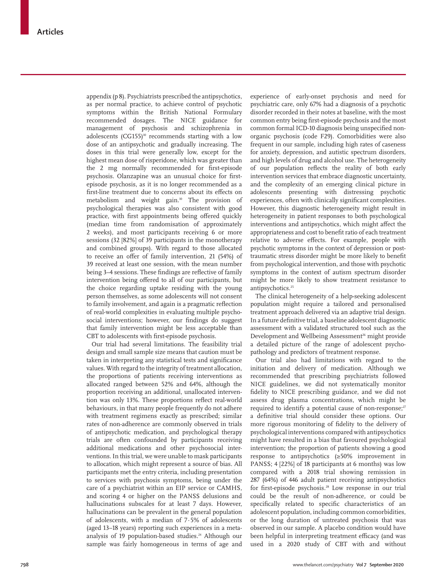appendix (p 8). Psychiatrists prescribed the antipsychotics, as per normal practice, to achieve control of psychotic symptoms within the British National Formulary recommended dosages. The NICE guidance for management of psychosis and schizophrenia in adolescents  $(CG155)^{10}$  recommends starting with a low dose of an antipsychotic and gradually increasing. The doses in this trial were generally low, except for the highest mean dose of risperidone, which was greater than the 2 mg normally recommended for first-episode psychosis. Olanzapine was an unusual choice for firstepisode psychosis, as it is no longer recommended as a first-line treatment due to concerns about its effects on metabolism and weight gain.10 The provision of psychological therapies was also consistent with good practice, with first appointments being offered quickly (median time from randomisation of approximately 2 weeks), and most participants receiving 6 or more sessions (32 [82%] of 39 participants in the monotherapy and combined groups). With regard to those allocated to receive an offer of family intervention, 21 (54%) of 39 received at least one session, with the mean number being 3–4 sessions. These findings are reflective of family intervention being offered to all of our participants, but the choice regarding uptake residing with the young person themselves, as some adolescents will not consent to family involvement, and again is a pragmatic reflection of real-world complexities in evaluating multiple psychosocial interventions; however, our findings do suggest that family intervention might be less acceptable than CBT to adolescents with first-episode psychosis.

Our trial had several limitations. The feasibility trial design and small sample size means that caution must be taken in interpreting any statistical tests and significance values. With regard to the integrity of treatment allocation, the proportions of patients receiving interventions as allocated ranged between 52% and 64%, although the proportion receiving an additional, unallocated intervention was only 13%. These proportions reflect real-world behaviours, in that many people frequently do not adhere with treatment regimens exactly as prescribed; similar rates of non-adherence are commonly observed in trials of antipsychotic medication, and psychological therapy trials are often confounded by participants receiving additional medications and other psychosocial interventions. In this trial, we were unable to mask participants to allocation, which might represent a source of bias. All participants met the entry criteria, including presentation to services with psychosis symptoms, being under the care of a psychiatrist within an EIP service or CAMHS, and scoring 4 or higher on the PANSS delusions and hallucinations subscales for at least 7 days. However, hallucinations can be prevalent in the general population of adolescents, with a median of 7·5% of adolescents (aged 13–18 years) reporting such experiences in a metaanalysis of 19 population-based studies.<sup>24</sup> Although our sample was fairly homogeneous in terms of age and experience of early-onset psychosis and need for psychiatric care, only 67% had a diagnosis of a psychotic disorder recorded in their notes at baseline, with the most common entry being first-episode psychosis and the most common formal ICD-10 diagnosis being unspecified nonorganic psychosis (code F29). Comorbidities were also frequent in our sample, including high rates of caseness for anxiety, depression, and autistic spectrum disorders, and high levels of drug and alcohol use. The heterogeneity of our population reflects the reality of both early intervention services that embrace diagnostic uncertainty, and the complexity of an emerging clinical picture in adolescents presenting with distressing psychotic experiences, often with clinically significant complexities. However, this diagnostic heterogeneity might result in heterogeneity in patient responses to both psychological interventions and antipsychotics, which might affect the appropriateness and cost to benefit ratio of each treatment relative to adverse effects. For example, people with psychotic symptoms in the context of depression or posttraumatic stress disorder might be more likely to benefit from psychological intervention, and those with psychotic symptoms in the context of autism spectrum disorder might be more likely to show treatment resistance to antipsychotics.<sup>25</sup>

The clinical heterogeneity of a help-seeking adolescent population might require a tailored and personalised treatment approach delivered via an adaptive trial design. In a future definitive trial, a baseline adolescent diagnostic assessment with a validated structured tool such as the Development and Wellbeing Assessment<sup>26</sup> might provide a detailed picture of the range of adolescent psychopathology and predictors of treatment response.

Our trial also had limitations with regard to the initiation and delivery of medication. Although we recommended that prescribing psychiatrists followed NICE guidelines, we did not systematically monitor fidelity to NICE prescribing guidance, and we did not assess drug plasma concentrations, which might be required to identify a potential cause of non-response;<sup>27</sup> a definitive trial should consider these options. Our more rigorous monitoring of fidelity to the delivery of psychological interventions compared with antipsychotics might have resulted in a bias that favoured psychological intervention; the proportion of patients showing a good response to antipsychotics (≥50% improvement in PANSS; 4 [22%] of 18 participants at 6 months) was low compared with a 2018 trial showing remission in 287 (64%) of 446 adult patient receiving antipsychotics for first-episode psychosis.28 Low response in our trial could be the result of non-adherence, or could be specifically related to specific characteristics of an adolescent population, including common comorbidities, or the long duration of untreated psychosis that was observed in our sample. A placebo condition would have been helpful in interpreting treatment efficacy (and was used in a 2020 study of CBT with and without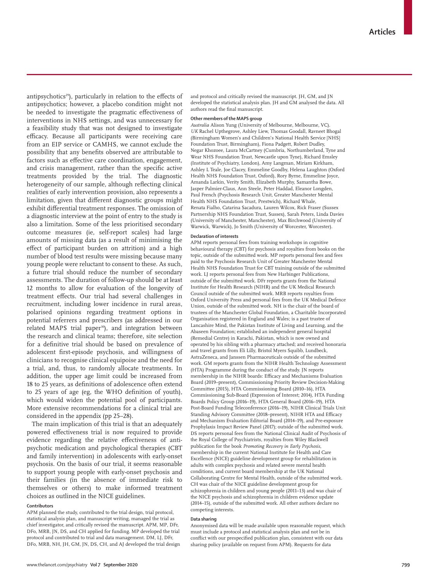antipsychotics<sup>29</sup>), particularly in relation to the effects of antipsychotics; however, a placebo condition might not be needed to investigate the pragmatic effectiveness of interventions in NHS settings, and was unnecessary for a feasibility study that was not designed to investigate efficacy. Because all participants were receiving care from an EIP service or CAMHS, we cannot exclude the possibility that any benefits observed are attributable to factors such as effective care coordination, engagement, and crisis management, rather than the specific active treatments provided by the trial. The diagnostic heterogeneity of our sample, although reflecting clinical realities of early intervention provision, also represents a limitation, given that different diagnostic groups might exhibit differential treatment responses. The omission of a diagnostic interview at the point of entry to the study is also a limitation. Some of the less prioritised secondary outcome measures (ie, self-report scales) had large amounts of missing data (as a result of minimising the effect of participant burden on attrition) and a high number of blood test results were missing because many young people were reluctant to consent to these. As such, a future trial should reduce the number of secondary assessments. The duration of follow-up should be at least 12 months to allow for evaluation of the longevity of treatment effects. Our trial had several challenges in recruitment, including lower incidence in rural areas, polarised opinions regarding treatment options in potential referrers and prescribers (as addressed in our related MAPS trial paper<sup>30</sup>), and integration between the research and clinical teams; therefore, site selection for a definitive trial should be based on prevalence of adolescent first-episode psychosis, and willingness of clinicians to recognise clinical equipoise and the need for a trial, and, thus, to randomly allocate treatments. In addition, the upper age limit could be increased from 18 to 25 years, as definitions of adolescence often extend to 25 years of age (eg, the WHO definition of youth), which would widen the potential pool of participants. More extensive recommendations for a clinical trial are considered in the appendix (pp 25–28).

The main implication of this trial is that an adequately powered effectiveness trial is now required to provide evidence regarding the relative effectiveness of antipsychotic medication and psychological therapies (CBT and family intervention) in adolescents with early-onset psychosis. On the basis of our trial, it seems reasonable to support young people with early-onset psychosis and their families (in the absence of immediate risk to themselves or others) to make informed treatment choices as outlined in the NICE guidelines.

#### **Contributors**

APM planned the study, contributed to the trial design, trial protocol, statistical analysis plan, and manuscript writing, managed the trial as chief investigator, and critically revised the manuscript. APM, MP, DFr, DFo, MRB, JN, DS, and CH applied for funding. MP developed the trial protocol and contributed to trial and data management. DM, LJ, DFr, DFo, MRB, NH, JH, GM, JN, DS, CH, and AJ developed the trial design and protocol and critically revised the manuscript. JH, GM, and JN developed the statistical analysis plan. JH and GM analysed the data. All authors read the final manuscript.

#### **Other members of the MAPS group**

*Australia* Alison Yung (University of Melbourne, Melbourne, VC). *UK* Rachel Upthegrove, Ashley Liew, Thomas Goodall, Ravneet Bhogal (Birmingham Women's and Children's National Health Service [NHS] Foundation Trust, Birmingham), Fiona Padgett, Robert Dudley, Negar Khozoee, Laura McCartney (Cumbria, Northumberland, Tyne and Wear NHS Foundation Trust, Newcastle upon Tyne), Richard Emsley (Institute of Psychiatry, London), Amy Langman, Miriam Kirkham, Ashley L Teale, Joe Clacey, Emmeline Goodby, Helena Laughton (Oxford Health NHS Foundation Trust, Oxford), Rory Byrne, Emmeline Joyce, Amanda Larkin, Verity Smith, Elizabeth Murphy, Samantha Bowe, Jasper Palmier-Claus, Ann Steele, Peter Haddad, Eleanor Longden, Paul French (Psychosis Research Unit, Greater Manchester Mental Health NHS Foundation Trust, Prestwich), Richard Whale, Renata Fialho, Catarina Sacadura, Lauren Wilcox, Rick Fraser (Sussex Partnership NHS Foundation Trust, Sussex), Sarah Peters, Linda Davies (University of Manchester, Manchester), Max Birchwood (University of Warwick, Warwick), Jo Smith (University of Worcester, Worcester).

#### **Declaration of interests**

APM reports personal fees from training workshops in cognitive behavioural therapy (CBT) for psychosis and royalties from books on the topic, outside of the submitted work. MP reports personal fees and fees paid to the Psychosis Research Unit of Greater Manchester Mental Health NHS Foundation Trust for CBT training outside of the submitted work. LJ reports personal fees from New Harbinger Publications, outside of the submitted work. DFr reports grants from the National Institute for Health Research (NIHR) and the UK Medical Research Council outside of the submitted work. MRB reports royalties from Oxford University Press and personal fees from the UK Medical Defence Union, outside of the submitted work. NH is the chair of the board of trustees of the Manchester Global Foundation, a Charitable Incorporated Organisation registered in England and Wales; is a past trustee of Lancashire Mind, the Pakistan Institute of Living and Learning, and the Abaseen Foundation; established an independent general hospital (Remedial Centre) in Karachi, Pakistan, which is now owned and operated by his sibling with a pharmacy attached; and received honoraria and travel grants from Eli Lilly, Bristol Myers Squibb, Lundbeck, AstraZeneca, and Janssen Pharmaceuticals outside of the submitted work. GM reports grants from the NIHR Health Technology Assessment (HTA) Programme during the conduct of the study. JN reports membership in the NIHR boards: Efficacy and Mechanisms Evaluation Board (2019–present), Commissioning Priority Review Decision-Making Committee (2015), HTA Commissioning Board (2010–16), HTA Commissioning Sub-Board (Expression of Interest; 2014), HTA Funding Boards Policy Group (2016–19), HTA General Board (2016–19), HTA Post-Board Funding Teleconference (2016–19), NIHR Clinical Trials Unit Standing Advisory Committee (2018–present), NIHR HTA and Efficacy and Mechanism Evaluation Editorial Board (2014–19), and Pre-exposure Prophylaxis Impact Review Panel (2017); outside of the submitted work. DS reports personal fees from the National Clinical Audit of Psychosis of the Royal College of Psychiatrists, royalties from Wiley Blackwell publication for the book *Promoting Recovery in Early Psychosis*, membership in the current National Institute for Health and Care Excellence (NICE) guideline development group for rehabilitation in adults with complex psychosis and related severe mental health conditions, and current board membership at the UK National Collaborating Centre for Mental Health, outside of the submitted work. CH was chair of the NICE guideline development group for schizophrenia in children and young people (2011–13) and was chair of the NICE psychosis and schizophrenia in children evidence update (2014–15), outside of the submitted work. All other authors declare no competing interests.

#### **Data sharing**

Anonymised data will be made available upon reasonable request, which must include a protocol and statistical analysis plan and not be in conflict with our prespecified publication plan, consistent with our data sharing policy (available on request from APM). Requests for data